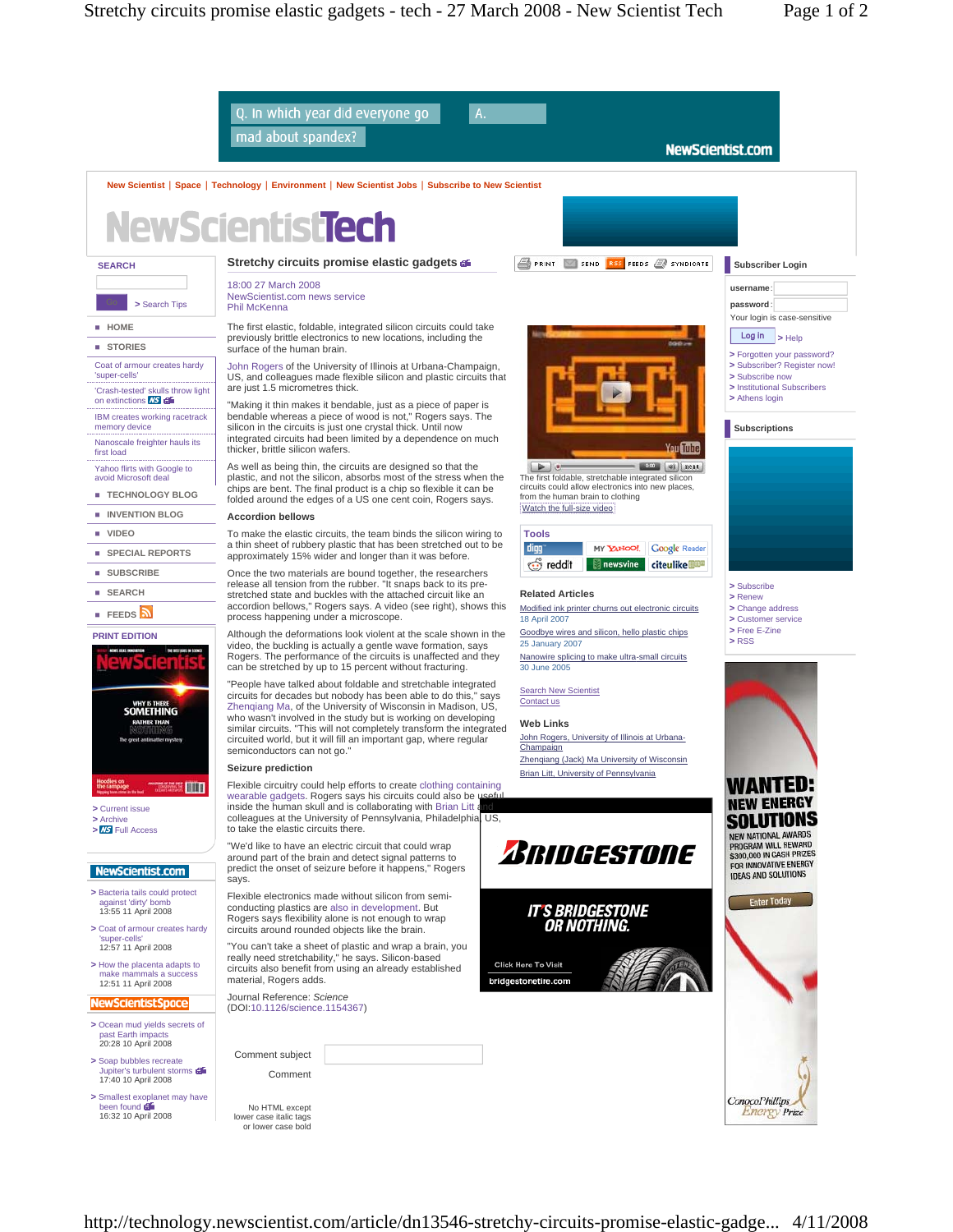